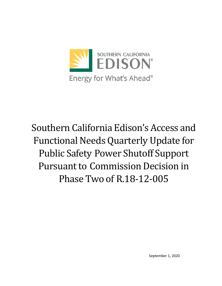

Southern California Edison's Access and Functional Needs Quarterly Update for Public Safety Power Shutoff Support Pursuant to Commission Decision in Phase Two of R.18-12-005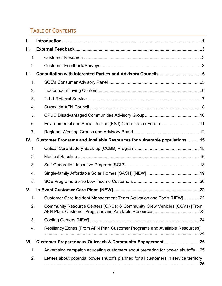# TABLE OF CONTENTS

| I.  |                                                                                       |  |  |  |  |  |
|-----|---------------------------------------------------------------------------------------|--|--|--|--|--|
| Ш.  |                                                                                       |  |  |  |  |  |
| 1.  |                                                                                       |  |  |  |  |  |
| 2.  |                                                                                       |  |  |  |  |  |
| Ш.  | Consultation with Interested Parties and Advisory Councils 5                          |  |  |  |  |  |
| 1.  |                                                                                       |  |  |  |  |  |
| 2.  |                                                                                       |  |  |  |  |  |
| 3.  |                                                                                       |  |  |  |  |  |
| 4.  |                                                                                       |  |  |  |  |  |
| 5.  |                                                                                       |  |  |  |  |  |
| 6.  | Environmental and Social Justice (ESJ) Coordination Forum 11                          |  |  |  |  |  |
| 7.  |                                                                                       |  |  |  |  |  |
| IV. | Customer Programs and Available Resources for vulnerable populations 15               |  |  |  |  |  |
| 1.  |                                                                                       |  |  |  |  |  |
| 2.  |                                                                                       |  |  |  |  |  |
| 3.  |                                                                                       |  |  |  |  |  |
| 4.  |                                                                                       |  |  |  |  |  |
| 5.  |                                                                                       |  |  |  |  |  |
| V.  |                                                                                       |  |  |  |  |  |
| 1.  | Customer Care Incident Management Team Activation and Tools [NEW] 22                  |  |  |  |  |  |
| 2.  | Community Resource Centers (CRCs) & Community Crew Vehicles (CCVs) [From              |  |  |  |  |  |
| 3.  |                                                                                       |  |  |  |  |  |
| 4.  | Resiliency Zones [From AFN Plan Customer Programs and Available Resources]            |  |  |  |  |  |
| VI. | Customer Preparedness Outreach & Community Engagement 25                              |  |  |  |  |  |
| 1.  | Advertising campaign educating customers about preparing for power shutoffs 25        |  |  |  |  |  |
| 2.  | Letters about potential power shutoffs planned for all customers in service territory |  |  |  |  |  |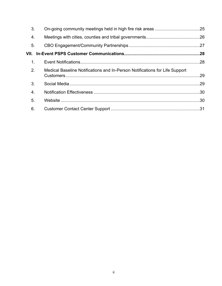| 3.               |                                                                             |  |
|------------------|-----------------------------------------------------------------------------|--|
| $\overline{4}$ . |                                                                             |  |
| 5.               |                                                                             |  |
|                  |                                                                             |  |
| 1 <sub>1</sub>   |                                                                             |  |
| 2.               | Medical Baseline Notifications and In-Person Notifications for Life Support |  |
| 3.               |                                                                             |  |
| $\overline{4}$ . |                                                                             |  |
| 5.               |                                                                             |  |
| 6.               |                                                                             |  |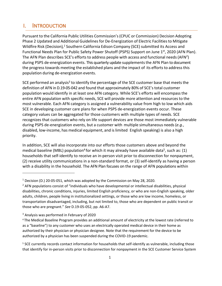## <span id="page-3-0"></span>I. INTRODUCTION

Pursuant to the California Public Utilities Commission's(CPUC or Commission) Decision Adopting Phase 2 Updated and Additional Guidelinesfor De-Energization of Electric Facilitiesto Mitigate Wildfire Risk (Decision),<sup>1</sup> Southern California Edison Company (SCE) submitted its Access and Functional Needs Plan for Public Safety Power Shutoff (PSPS) Support on June 1<sup>st</sup>, 2020 (AFN Plan). The AFN Plan describes SCE's efforts to address people with access and functional needs (AFN<sup>2</sup>) during PSPS de-energization events. This quarterly update supplements the AFN Plan to document the progress towards meeting the established plans and the impact of its efforts to address this population during de-energization events.

SCE performed an analysis<sup>3</sup> to identify the percentage of the SCE customer base that meets the definition of AFN in D.19-05-042 and found that approximately 80% of SCE's total customer population would identify in at least one AFN category. While SCE's efforts will encompassthe entire AFN population with specific needs, SCE will provide more attention and resources to the most vulnerable. Each AFN category is assigned a vulnerability value from high to low which aids SCE in developing customer care plans for when PSPS de-energization events occur. These category values can be aggregated for those customers with multiple types of needs. SCE recognizes that customers who rely on life support devices are those most immediately vulnerable during PSPS de-energization events, but a customer with multiple simultaneous needs(*e.g.*, disabled, low-income, has medical equipment, and islimited English speaking) is also a high priority.

In addition, SCE will also incorporate into our efforts those customers above and beyond the medical baseline (MBL) population<sup>4</sup> for which it may already have available data<sup>5</sup>, such as: (1) households that self-identify to receive an in-person visit prior to disconnection for nonpayment, (2) receive utility communications in a non-standard format, or (3) self-identify as having a person with a disability in the household. The AFN Plan focuses on the range of AFN populations within

<sup>&</sup>lt;sup>1</sup> Decision (D.) 20-05-051, which was adopted by the Commission on May 28, 2020.

<sup>&</sup>lt;sup>2</sup> AFN populations consist of "individuals who have developmental or intellectual disabilities, physical disabilities, chronic conditions, injuries, limited English proficiency, or who are non-English speaking, older adults, children, people living in institutionalized settings, or those who are low income, homeless, or transportation disadvantaged, including, but not limited to, those who are dependent on public transit or those who are pregnant." *See* D.19-05-052, pp. A6-A7.

<sup>&</sup>lt;sup>3</sup> Analysis was performed in February of 2020

<sup>4</sup> The Medical Baseline Program provides an additional amount of electricity at the lowest rate (referred to as a "baseline") to any customer who uses an electrically operated medical device in their home as authorized by their physician or physician designee. Note that the requirement for the device to be authorized by a physician has been suspended during the COVID-19 pandemic.

<sup>5</sup> SCE currently records contact information for households that self-identify as vulnerable, including those that identify for in-person visits prior to disconnection for nonpayment in the SCE Customer Service System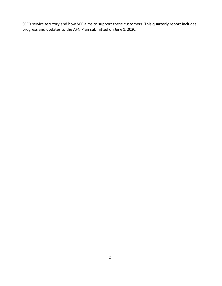SCE's service territory and how SCE aims to support these customers. This quarterly report includes progress and updates to the AFN Plan submitted on June 1, 2020.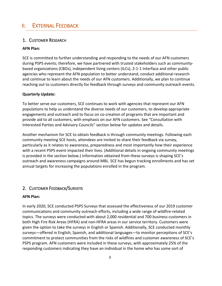## <span id="page-5-0"></span>II. EXTERNAL FEEDBACK

### <span id="page-5-1"></span>1. CUSTOMER RESEARCH

#### **AFN Plan:**

SCE is committed to further understanding and responding to the needs of our AFN customers during PSPS events; therefore, we have partnered with trusted stakeholders such as communitybased organizations (CBOs), independent living centers (ILCs), 2-1-1 Interface and other public agencies who represent the AFN population to better understand, conduct additional research and continue to learn about the needs of our AFN customers. Additionally, we plan to continue reaching out to customers directly for feedback through surveys and community outreach events.

#### **Quarterly Update:**

To better serve our customers, SCE continues to work with agencies that represent our AFN populations to help us understand the diverse needs of our customers, to develop appropriate engagements and outreach and to focus on co-creation of programs that are important and provide aid to all customers, with emphasis on our AFN customers. See "Consultation with Interested Parties and Advisory Councils" section below for updates and details.

Another mechanism for SCE to obtain feedback is through community meetings. Following each community meeting SCE hosts, attendees are invited to share their feedback via survey, particularly as it relates to awareness, preparedness and most importantly how their experience with a recent PSPS event impacted their lives. (Additional details in ongoing community meetings is provided in the section below.) Information obtained from these surveys is shaping SCE's outreach and awareness campaigns around MBL. SCE has begun tracking enrollments and has set annual targets for increasing the populations enrolled in the program.

#### <span id="page-5-2"></span>2. CUSTOMER FEEDBACK/SURVEYS

#### **AFN Plan:**

In early 2020, SCE conducted PSPS Surveys that assessed the effectiveness of our 2019 customer communications and community outreach efforts, including a wide range of wildfire-related topics. The surveys were conducted with about 2,000 residential and 700 business customers in both High Fire Risk Areas (HFRA) and non-HFRA areas in our service territory. Customers were given the option to take the surveys in English or Spanish. Additionally, SCE conducted monthly surveys—offered in English, Spanish, and additional languages—to monitor perceptions of SCE's commitment to protect communities from the risks of wildfires and customer awareness of SCE's PSPS program. AFN customers were included in these surveys, with approximately 25% of the responding customers indicating they have an individual in the home who has some sort of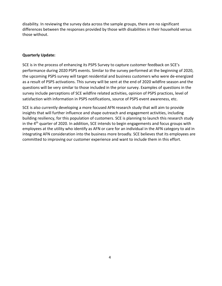disability. In reviewing the survey data across the sample groups, there are no significant differences between the responses provided by those with disabilities in their household versus those without.

#### **Quarterly Update:**

SCE is in the process of enhancing its PSPS Survey to capture customer feedback on SCE's performance during 2020 PSPS events. Similar to the survey performed at the beginning of 2020, the upcoming PSPS survey will target residential and business customers who were de-energized as a result of PSPS activations. This survey will be sent at the end of 2020 wildfire season and the questions will be very similar to those included in the prior survey. Examples of questions in the survey include perceptions of SCE wildfire related activities, opinion of PSPS practices, level of satisfaction with information in PSPS notifications, source of PSPS event awareness, etc.

SCE is also currently developing a more focused AFN research study that will aim to provide insights that will further influence and shape outreach and engagement activities, including building resiliency, for this population of customers. SCE is planning to launch this research study in the  $4<sup>th</sup>$  quarter of 2020. In addition, SCE intends to begin engagements and focus groups with employees at the utility who identify as AFN or care for an individual in the AFN category to aid in integrating AFN consideration into the business more broadly. SCE believes that its employees are committed to improving our customer experience and want to include them in this effort.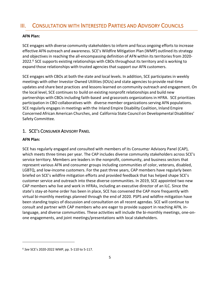# <span id="page-7-0"></span>III. CONSULTATION WITH INTERESTED PARTIES AND ADVISORY COUNCILS

### **AFN Plan:**

SCE engages with diverse community stakeholders to inform and focus ongoing efforts to increase effective AFN outreach and awareness. SCE's Wildfire Mitigation Plan (WMP) outlined itsstrategy and objectives in reaching the all-encompassing definition of AFN within its territoriesfrom 2020- 2022.<sup>6</sup> SCE supports existing relationships with CBOs throughout its territory and is working to expand those relationships with trusted agenciesthat support our AFN customers.

SCE engages with CBOs at both the state and local levels. In addition, SCE participates in weekly meetings with other Investor Owned Utilities (IOUs) and state agencies to provide real-time updates and share best practices and lessonslearned on community outreach and engagement. On the local level, SCE continuesto build on existing nonprofit relationships and build new partnerships with CBOs including faith-based and grassroots organizations in HFRA. SCE prioritizes participation in CBO collaboratives with diverse member organizations serving AFN populations. SCE regularly engagesin meetings with the Inland Empire Disability Coalition, Inland Empire Concerned African American Churches, and California State Council on Developmental Disabilities' Safety Committee.

### <span id="page-7-1"></span>1. SCE'S CONSUMER ADVISORY PANEL

#### **AFN Plan:**

SCE has regularly engaged and consulted with members of its Consumer Advisory Panel (CAP), which meets three times per year. The CAP includes diverse community stakeholders across SCE's service territory. Members are leaders in the nonprofit, community, and business sectors that represent various AFN and consumer groups including communities of color, veterans, disabled, LGBTQ, and low-income customers. For the past three years, CAP members have regularly been briefed on SCE's wildfire mitigation efforts and provided feedback that has helped shape SCE's customer service and outreach into these diverse communities. In 2019, SCE appointed two new CAP members who live and work in HFRAs, including an executive director of an ILC. Since the state's stay-at-home order has been in place, SCE has convened the CAP more frequently with virtual bi-monthly meetings planned through the end of 2020. PSPS and wildfire mitigation have been standing topics of discussion and consultation on all recent agendas. SCE will continue to consult and partner with CAP members who are eager to provide support in reaching AFN, inlanguage, and diverse communities. These activities will include the bi-monthly meetings, one-onone engagements, and joint meetings/presentations with local stakeholders.

<sup>6</sup> *See* SCE's 2020-2022 WMP, pp. 5-110 to 5-117.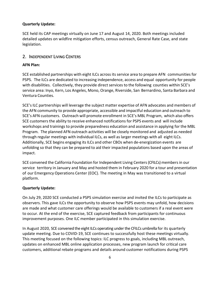#### **Quarterly Update:**

SCE held its CAP meetings virtually on June 17 and August 14, 2020. Both meetings included detailed updates on wildfire mitigation efforts, census outreach, General Rate Case, and state legislation.

### <span id="page-8-0"></span>2. INDEPENDENT LIVING CENTERS

### **AFN Plan:**

SCE established partnerships with eight ILCs acrossits service area to prepare AFN communities for PSPS. The ILCs are dedicated to increasing independence, access and equal opportunity for people with disabilities. Collectively, they provide direct services to the following counties within SCE's service area: Inyo, Kern, Los Angeles, Mono, Orange, Riverside, San Bernardino, Santa Barbara and Ventura Counties.

SCE's ILC partnerships will leverage the subject matter expertise of AFN advocates and members of the AFN community to provide appropriate, accessible and impactful education and outreach to SCE's AFN customers. Outreach will promote enrollment in SCE's MBL Program, which also offers SCE customers the ability to receive enhanced notifications for PSPS events and will include workshops and trainingsto provide preparedness education and assistance in applying for the MBL Program. The planned AFN outreach activities will be closely monitored and adjusted as needed through regular meetings with individual ILCs, as well as larger meetings with all eight ILCs. Additionally, SCE begins engaging itsILCs and other CBOs when de-energization events are unfolding so that they can be prepared to aid their impacted populations based upon the areas of impact.

SCE convened the California Foundation for Independent Living Centers(CFILCs) membersin our service territory in January and May and hosted them in February 2020 for a tour and presentation of our Emergency Operations Center (EOC). The meeting in May was transitioned to a virtual platform.

#### **Quarterly Update:**

On July 29, 2020 SCE conducted a PSPS simulation exercise and invited the ILCs to participate as observers. This gave ILCs the opportunity to observe how PSPS events may unfold, how decisions are made and what customer care offerings would be available to customers if a real event were to occur. At the end of the exercise, SCE captured feedback from participants for continuous improvement purposes. One ILC member participated in this simulation exercise.

In August 2020, SCE convened the eight ILCs operating under the CFILCs umbrella for its quarterly update meeting. Due to COVID-19, SCE continues to successfully host these meetings virtually. This meeting focused on the following topics: ILC progress to goals, including MBL outreach, updates on enhanced MBL online application processes, new program launch for critical care customers, additional rebate programs and details around customer notifications during PSPS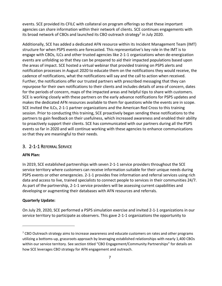events. SCE provided its CFILC with collateral on program offerings so that these important agencies can share information within their network of clients. SCE continues engagements with its broad network of CBOs and launched its CBO outreach strategy<sup>7</sup> in July 2020.

Additionally, SCE has added a dedicated AFN resource within its Incident Management Team (IMT) structure for when PSPS events are forecasted. This representative's key role in the IMT is to engage with CBOs, ILCs and other trusted agencies like 2-1-1 organizations when de-energization events are unfolding so that they can be prepared to aid their impacted populations based upon the areas of impact. SCE hosted a virtual webinar that provided training on PSPS alerts and notification processes in August 2020 to educate them on the notifications they would receive, the cadence of notifications, what the notifications will say and the call to action when received. Further, the notifications offer our trusted partners with prescribed messaging that they can repurpose for their own notifications to their clients and includes details of area of concern, dates for the periods of concern, maps of the impacted areas and helpful tips to share with customers. SCE is working closely with these partners on the early advance notifications for PSPS updates and makes the dedicated AFN resources available to them for questions while the events are in scope. SCE invited the ILCs, 2-1-1 partner organizations and the American Red Cross to this training session. Prior to conducting this training, SCE proactively began sending these notifications to the partners to gain feedback on their usefulness, which increased awareness and enabled their ability to proactively support their clients. SCE has communicated with our partners during all the PSPS events so far in 2020 and will continue working with these agencies to enhance communications so that they are meaningful to their needs.

### <span id="page-9-0"></span>3. 2-1-1 REFERRAL SERVICE

#### **AFN Plan:**

In 2019, SCE established partnerships with seven 2-1-1 service providers throughout the SCE service territory where customers can receive information suitable for their unique needs during PSPS events or other emergencies. 2-1-1 provides free information and referral services using rich data and access to live, trained specialists to connect people to services in their communities 24/7. As part of the partnership, 2-1-1 service providers will be assessing current capabilities and developing or augmenting their databases with AFN resources and referrals.

#### **Quarterly Update:**

On July 29, 2020, SCE performed a PSPS simulation exercise and invited 2-1-1 organizations in our service territory to participate as observers. This gave 2-1-1 organizations the opportunity to

 $<sup>7</sup>$  CBO Outreach strategy aims to increase awareness and educate customers on rates and other programs</sup> utilizing a bottoms-up, grassroots approach by leveraging established relationships with nearly 1,400 CBOs within our service territory. See section titled "CBO Engagement/Community Partnerships" for details on how SCE leverages CBO strategy for AFN engagement and outreach.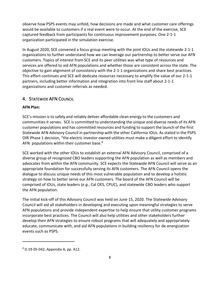observe how PSPS events may unfold, how decisions are made and what customer care offerings would be available to customers if a real event were to occur. At the end of the exercise, SCE captured feedback from participants for continuous improvement purposes. One 2-1-1 organization participated in the simulation exercise.

In August 2020, SCE convened a focus group meeting with the joint IOUs and the statewide 2-1-1 organizations to further understand how we can leverage our partnership to better serve our AFN customers. Topics of interest from SCE and its peer utilities was what type of resources and services are offered to aid AFN populations and whether those are consistent across the state. The objective to gain alignment of consistency with the 2-1-1 organizations and share best practices. This effort continues and SCE will dedicate resources necessary to amplify the value of our 2-1-1 partners, including better information and integration into front line staff about 2-1-1 organizations and customer referrals as needed.

### <span id="page-10-0"></span>4. STATEWIDE AFN COUNCIL

### **AFN Plan:**

SCE's mission is to safely and reliably deliver affordable clean energy to the customers and communities it serves. SCE is committed to understanding the unique and diverse needs of its AFN customer populations and has committed resources and funding to support the launch of the first Statewide AFN Advisory Council in partnership with the other California IOUs. As stated in the PSPS OIR Phase 1 decision, "the electric investor owned utilities must make a diligent effort to identify AFN populations within their customer base.<sup>8</sup>

SCE worked with the other IOUs to establish an external AFN Advisory Council, comprised of a diverse group of recognized CBO leaders supporting the AFN population as well as members and advocates from within the AFN community. SCE expects the Statewide AFN Council will serve as an appropriate foundation for successfully serving its AFN customers. The AFN Council opens the dialogue to discuss unique needs of this most vulnerable population and to develop a holistic strategy on how to better serve our AFN customers. The board of the AFN Council will be comprised of IOUs, state leaders (*e.g.*, Cal OES, CPUC), and statewide CBO leaders who support the AFN population.

The initial kick-off of this Advisory Council was held on June 15, 2020. The Statewide Advisory Council will aid all stakeholders in developing and executing upon meaningful strategies to serve AFN populations and provide independent expertise to help ensure that utility customer programs incorporate best practices. The Council will also help utilities and other stakeholders further develop their AFN strategies to ensure robust programs that will adequately and appropriately educate, communicate with, and aid AFN populations in building resiliency for de-energization events such as PSPS.

<sup>8</sup> D.19-05-042, Appendix A, pp. A12.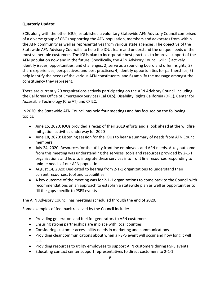### **Quarterly Update:**

SCE, along with the other IOUs, established a voluntary Statewide AFN Advisory Council comprised of a diverse group of CBOs supporting the AFN population, members and advocates from within the AFN community as well as representatives from various state agencies. The objective of the Statewide AFN Advisory Council is to help the IOUs learn and understand the unique needs of their most vulnerable customers. The IOUs plan to incorporate best practices to improve support of the AFN population now and in the future. Specifically, the AFN Advisory Council will: 1) actively identify issues, opportunities, and challenges; 2) serve as a sounding board and offer insights; 3) share experiences, perspectives, and best practices; 4) identify opportunities for partnerships; 5) help identify the needs of the various AFN constituents, and 6) amplify the message amongst the constituency they represent.

There are currently 20 organizations actively participating on the AFN Advisory Council including the California Office of Emergency Services (Cal OES), Disability Rights California (DRC), Center for Accessible Technology (CforAT) and CFILC.

In 2020, the Statewide AFN Council has held four meetings and has focused on the following topics:

- June 15, 2020: IOUs provided a recap of their 2019 efforts and a look ahead at the wildfire mitigation activities underway for 2020
- June 18, 2020: Listening session for the IOUs to hear a summary of needs from AFN Council members
- July 24, 2020: Resources for the utility frontline employees and AFN needs. A key outcome from this meeting was understanding the services, tools and resources provided by 2-1-1 organizations and how to integrate these services into front line resources responding to unique needs of our AFN populations
- August 14, 2020: Dedicated to hearing from 2-1-1 organizations to understand their current resources, tool and capabilities
- A key outcome of the meeting was for 2-1-1 organizations to come back to the Council with recommendations on an approach to establish a statewide plan as well as opportunities to fill the gaps specific to PSPS events

The AFN Advisory Council has meetings scheduled through the end of 2020.

Some examples of feedback received by the Council include:

- Providing generators and fuel for generators to AFN customers
- Ensuring strong partnerships are in place with local counties
- Considering customer accessibility needs in marketing and communications
- Providing clear communications about when a PSPS event will occur and how long it will last
- Providing resources to utility employees to support AFN customers during PSPS events
- Educating contact center support representatives to direct customers to 2-1-1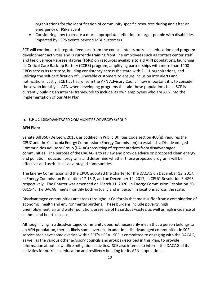organizations for the identification of community specific resources during and after an emergency or PSPS event

• Considering how to create a more appropriate definition to target people with disabilities impacted by PSPS events beyond MBL customers

SCE will continue to integrate feedback from the council into its outreach, education and program development activities and is currently training front line employees such as contact center staff and Field Service Representatives (FSRs) on resources available to aid AFN populations, launching its Critical Care Back-up Battery (CCBB) program, amplifying partnerships with more than 1400 CBOs across its territory, building consistency across the state with 2-1-1 organizations, and utilizing the self-certification of vulnerable customers to ensure inclusion into alerts and notifications. Lastly, SCE has heard from the AFN Advisory Council how important it is to consider those who identify as AFN when developing programs that aid these populations best. SCE is currently building an internal framework to include its own employees who are AFN into the implementation of our AFN Plan.

### <span id="page-12-0"></span>5. CPUC DISADVANTAGED COMMUNITIES ADVISORY GROUP

#### **AFN Plan:**

Senate Bill 350 (De Leon, 2015), as codified in Public Utilities Code section 400(g), requires the CPUC and the California Energy Commission (Energy Commission) to establish a Disadvantaged Communities Advisory Group (DACAG) consisting of representativesfrom disadvantaged communities. The purpose of the DACAG is to review and provide advice on proposed clean energy and pollution reduction programs and determine whether those proposed programs will be effective and useful in disadvantaged communities.

The Energy Commission and the CPUC adopted the Charter for the DACAG on December 13, 2017, in Energy Commission Resolution 17-13-2, and on December 14, 2017, in CPUC Resolution E-4893, respectively. The Charter was amended on March 11, 2020, in Energy Commission Resolution 20- 0311-4. The DACAG meets monthly both virtually and in person in locations across the state.

Disadvantaged communities are areasthroughout California that mostsuffer from a combination of economic, health and environmental burdens. These burdens include poverty, high unemployment, air and water pollution, presence of hazardous wastes, as well as high incidence of asthma and heart disease.

Although living in a disadvantaged community does not necessarily mean that a person belongsto an AFN population, there is likely some overlap. In addition, disadvantaged communities in SCE's service area have some overlap within SCE's HFRA. SCE is committed to engaging with the DACAG, as well as the various other advisory councils and groups described in this Plan, to provide information about its wildfire mitigation activities. SCE also intends to inform the DACAG of its activities for outreach, education and resiliency building for its AFN populations.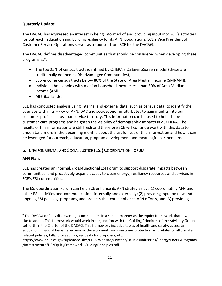### **Quarterly Update:**

The DACAG has expressed an interest in being informed of and providing input into SCE's activities for outreach, education and building resiliency for its AFN populations. SCE's Vice President of Customer Service Operations serves as a sponsor from SCE for the DACAG.

The DACAG defines disadvantaged communities that should be considered when developing these programs as<sup>9</sup>:

- The top 25% of census tracts identified by CalEPA's CalEnviroScreen model (these are traditionally defined as Disadvantaged Communities),
- Low-income census tracts below 80% of the State or Area Median Income (SMI/AMI),
- Individual households with median household income less than 80% of Area Median Income (AMI),
- All tribal lands.

SCE has conducted analysis using internal and external data, such as census data, to identify the overlaps within its HFRA of AFN, DAC and socioeconomic attributes to gain insights into our customer profiles across our service territory. This information can be used to help shape customer care programs and heighten the visibility of demographic impacts in our HFRA. The results of this information are still fresh and therefore SCE will continue work with this data to understand more in the upcoming months about the usefulness of this information and how it can be leveraged for outreach, education, program development and meaningful partnerships.

## <span id="page-13-0"></span>6. ENVIRONMENTAL AND SOCIAL JUSTICE (ESJ) COORDINATION FORUM

### **AFN Plan:**

SCE has created an internal, cross-functional ESJ Forum to support disparate impacts between communities; and proactively expand access to clean energy, resiliency resources and services in SCE's ESJ communities.

The ESJ Coordination Forum can help SCE enhance its AFN strategies by: (1) coordinating AFN and other ESJ activities and communicationsinternally and externally; (2) providing input on new and ongoing ESJ policies, programs, and projects that could enhance AFN efforts, and (3) providing

<sup>&</sup>lt;sup>9</sup> The DACAG defines disadvantage communities in a similar manner as the equity framework that it would like to adopt. This framework would work in conjunction with the Guiding Principles of the Advisory Group set forth in the Charter of the DACAG. This framework includes topics of health and safety, access & education, financial benefits, economic development, and consumer protection as it relates to all climate related policies, bills, proceedings, requests for proposals, etc.

https://www.cpuc.ca.gov/uploadedFiles/CPUCWebsite/Content/UtilitiesIndustries/Energy/EnergyPrograms /Infrastructure/DC/EquityFramework\_GuidingPrinciples.pdf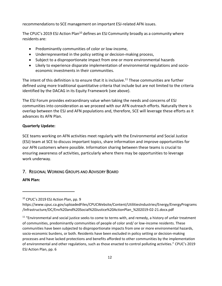recommendations to SCE management on important ESJ-related AFN issues.

The CPUC's 2019 ESJ Action Plan<sup>10</sup> defines an ESJ Community broadly as a community where residents are:

- Predominantly communities of color or low-income,
- Underrepresented in the policy setting or decision-making process,
- Subject to a disproportionate impact from one or more environmental hazards
- Likely to experience disparate implementation of environmental regulations and socioeconomic investments in their communities.

The intent of this definition is to ensure that it is inclusive.<sup>11</sup> These communities are further defined using more traditional quantitative criteria that include but are not limited to the criteria identified by the DACAG in its Equity Framework (see above).

The ESJ Forum provides extraordinary value when taking the needs and concerns of ESJ communities into consideration as we proceed with our AFN outreach efforts. Naturally there is overlap between the ESJ and AFN populations and, therefore, SCE will leverage these efforts as it advances its AFN Plan.

### **Quarterly Update:**

SCE teams working on AFN activities meet regularly with the Environmental and Social Justice (ESJ) team at SCE to discuss important topics, share information and improve opportunities for our AFN customers where possible. Information sharing between these teams is crucial to ensuring awareness of activities, particularly where there may be opportunities to leverage work underway.

### <span id="page-14-0"></span>7. REGIONAL WORKING GROUPS AND ADVISORY BOARD

### **AFN Plan:**

<sup>&</sup>lt;sup>10</sup> CPUC's 2019 ESJ Action Plan, pp. 9

https://www.cpuc.ca.gov/uploadedFiles/CPUCWebsite/Content/UtilitiesIndustries/Energy/EnergyPrograms /Infrastructure/DC/Env%20and%20Social%20Justice%20ActionPlan\_%202019-02-21.docx.pdf

 $11$  "Environmental and social justice seeks to come to terms with, and remedy, a history of unfair treatment of communities, predominantly communities of people of color and/ or low-income residents. These communities have been subjected to disproportionate impacts from one or more environmental hazards, socio-economic burdens, or both. Residents have been excluded in policy setting or decision-making processes and have lacked protections and benefits afforded to other communities by the implementation of environmental and other regulations, such as those enacted to control polluting activities." CPUC's 2019 ESJ Action Plan, pp. 6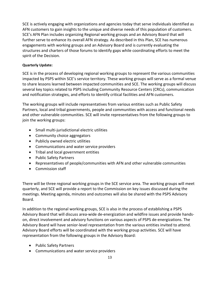SCE is actively engaging with organizations and agencies today that serve individuals identified as AFN customers to gain insights to the unique and diverse needs of this population of customers. SCE's AFN Plan includes organizing Regional working groups and an Advisory Board that will further serve to enhance its overall AFN strategy. As described in this Plan, SCE has numerous engagements with working groups and an Advisory Board and is currently evaluating the structures and charters of those forums to identify gaps while coordinating efforts to meet the spirit of the Decision.

### **Quarterly Update:**

SCE is in the process of developing regional working groups to represent the various communities impacted by PSPS within SCE's service territory. These working groups will serve as a formal venue to share lessons learned between impacted communities and SCE. The working groups will discuss several key topics related to PSPS including Community Resource Centers (CRCs), communication and notification strategies, and efforts to identify critical facilities and AFN customers.

The working groups will include representatives from various entities such as Public Safety Partners, local and tribal governments, people and communities with access and functional needs and other vulnerable communities. SCE will invite representatives from the following groups to join the working groups:

- Small multi-jurisdictional electric utilities
- Community choice aggregators
- Publicly owned electric utilities
- Communications and water service providers
- Tribal and local government entities
- Public Safety Partners
- Representatives of people/communities with AFN and other vulnerable communities
- Commission staff

There will be three regional working groups in the SCE service area. The working groups will meet quarterly, and SCE will provide a report to the Commission on key issues discussed during the meetings. Meeting agenda, minutes and outcomes will also be shared with the PSPS Advisory Board.

In addition to the regional working groups, SCE is also in the process of establishing a PSPS Advisory Board that will discuss area-wide de-energization and wildfire issues and provide handson, direct involvement and advisory functions on various aspects of PSPS de-energizations. The Advisory Board will have senior-level representation from the various entities invited to attend. Advisory Board efforts will be coordinated with the working group activities. SCE will have representation from the following groups in the Advisory Board:

- Public Safety Partners
- Communications and water service providers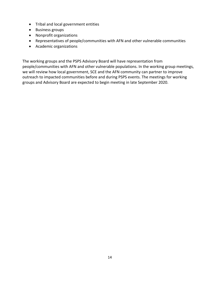- Tribal and local government entities
- Business groups
- Nonprofit organizations
- Representatives of people/communities with AFN and other vulnerable communities
- Academic organizations

The working groups and the PSPS Advisory Board will have representation from people/communities with AFN and other vulnerable populations. In the working group meetings, we will review how local government, SCE and the AFN community can partner to improve outreach to impacted communities before and during PSPS events. The meetings for working groups and Advisory Board are expected to begin meeting in late September 2020.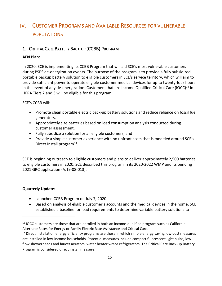# <span id="page-17-0"></span>IV. CUSTOMER PROGRAMS AND AVAILABLE RESOURCES FOR VULNERABLE POPULATIONS

### <span id="page-17-1"></span>1. CRITICAL CARE BATTERY BACK-UP (CCBB) PROGRAM

### **AFN Plan:**

In 2020, SCE is implementing its CCBB Program that will aid SCE's most vulnerable customers during PSPS de-energization events. The purpose of the program is to provide a fully subsidized portable backup battery solution to eligible customers in SCE's service territory, which will aim to provide sufficient power to operate eligible customer medical devices for up to twenty-four hours in the event of any de-energization. Customers that are Income Qualified Critical Care (IQCC)<sup>12</sup> in HFRA Tiers 2 and 3 will be eligible for this program.

SCE's CCBB will:

- Promote clean portable electric back-up battery solutions and reduce reliance on fossil fuel generators,
- Appropriately size batteries based on load consumption analysis conducted during customer assessment,
- Fully subsidize a solution for all eligible customers, and
- Provide a simple customer experience with no upfront costs that is modeled around SCE's Direct Install program<sup>13</sup>.

SCE is beginning outreach to eligible customers and plans to deliver approximately 2,500 batteries to eligible customers in 2020. SCE described this program in its 2020-2022 WMP and its pending 2021 GRC application (A.19-08-013).

### **Quarterly Update:**

- Launched CCBB Program on July 7, 2020.
- Based on analysis of eligible customer's accounts and the medical devices in the home, SCE established a baseline for load requirements to determine variable battery solutions to

 $12$  IQCC customers are those that are enrolled in both an income-qualified program such as California Alternate Rates for Energy or Family Electric Rate Assistance and Critical Care.

<sup>&</sup>lt;sup>13</sup> Direct installation energy efficiency programs are those in which simple energy saving low-cost measures are installed in low-income households. Potential measures include compact fluorescent light bulbs, lowflow showerheads and faucet aerators, water heater wraps refrigerators. The Critical Care Back-up Battery Program is considered direct install measure.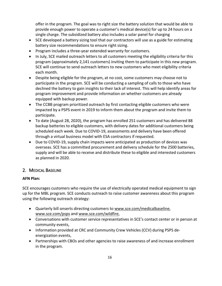offer in the program. The goal was to right size the battery solution that would be able to provide enough power to operate a customer's medical device(s) for up to 24 hours on a single charge. The subsidized battery also includes a solar panel for charging

- SCE developed a battery sizing tool that our contractors will use as a guide for estimating battery size recommendations to ensure right sizing.
- Program includes a three-year extended warranty for customers.
- In July, SCE mailed outreach letters to all customers meeting the eligibility criteria for this program (approximately 2,141 customers) inviting them to participate in this new program. SCE will continue to send outreach letters to new customers who meet eligibility criteria each month.
- Despite being eligible for the program, at no cost, some customers may choose not to participate in the program. SCE will be conducting a sampling of calls to those who have declined the battery to gain insights to their lack of interest. This will help identify areas for program improvement and provide information on whether customers are already equipped with backup power.
- The CCBB program prioritized outreach by first contacting eligible customers who were impacted by a PSPS event in 2019 to inform them about the program and invite them to participate.
- To date (August 28, 2020), the program has enrolled 251 customers and has delivered 88 backup batteries to eligible customers, with delivery dates for additional customers being scheduled each week. Due to COVID-19, assessments and delivery have been offered through a virtual business model with ESA contractors if requested.
- Due to COVID-19, supply chain impacts were anticipated as production of devices was overseas. SCE has a committed procurement and delivery schedule for the 2500 batteries, supply and will be able to receive and distribute these to eligible and interested customers as planned in 2020.

### <span id="page-18-0"></span>2. MEDICAL BASELINE

### **AFN Plan:**

SCE encourages customers who require the use of electrically operated medical equipment to sign up for the MBL program. SCE conducts outreach to raise customer awareness about this program using the following outreach strategy:

- Quarterly bill onserts directing customers to [www.sce.com/medicalbaseline,](http://www.sce.com/medicalbaseline) [www.sce.com/psps](http://www.sce.com/psps) and [www.sce.com/wildfire,](http://www.sce.com/wildfire)
- Conversations with customer service representatives in SCE's contact center or in person at community events,
- Information provided at CRC and Community Crew Vehicles (CCV) during PSPS deenergization events,
- Partnerships with CBOs and other agencies to raise awareness of and increase enrollment in the program.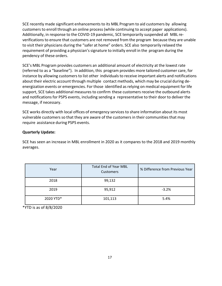SCE recently made significant enhancements to its MBL Program to aid customers by allowing customers to enroll through an online process(while continuing to accept paper applications). Additionally, in response to the COVID-19 pandemic, SCE temporarily suspended all MBL reverifications to ensure that customers are not removed from the program because they are unable to visit their physicians during the "safer at home" orders. SCE also temporarily relaxed the requirement of providing a physician'ssignature to initially enroll in the program during the pendency of these orders.

SCE's MBL Program provides customers an additional amount of electricity at the lowest rate (referred to as a "baseline"). In addition, this program provides more tailored customer care, for instance by allowing customers to list other individuals to receive important alerts and notifications about their electric account through multiple contact methods, which may be crucial during deenergization events or emergencies. For those identified asrelying on medical equipment for life support, SCE takes additional measures to confirm these customers receive the outbound alerts and notifications for PSPS events, including sending a representative to their door to deliver the message, if necessary.

SCE works directly with local offices of emergency services to share information about its most vulnerable customers so that they are aware of the customers in their communities that may require assistance during PSPS events.

### **Quarterly Update:**

SCE has seen an increase in MBL enrollment in 2020 as it compares to the 2018 and 2019 monthly averages.

| Year      | <b>Total End of Year MBL</b><br>Customers | % Difference from Previous Year |
|-----------|-------------------------------------------|---------------------------------|
| 2018      | 99,132                                    |                                 |
| 2019      | 95,912                                    | $-3.2%$                         |
| 2020 YTD* | 101,113                                   | 5.4%                            |

\*YTD is as of 8/8/2020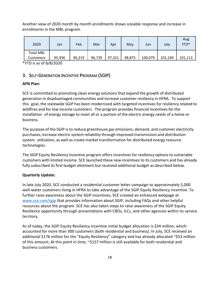Another view of 2020 month by month enrollments shows sizeable response and increase in enrollments in the MBL program.

| 2020             | Jan    | Feb    | Mar    | Apr    | May    | Jun     | July    | Aug<br>YTD* |
|------------------|--------|--------|--------|--------|--------|---------|---------|-------------|
| <b>Total MBL</b> |        |        |        |        |        |         |         |             |
| <b>Customers</b> | 95,936 | 96,219 | 96,739 | 97,321 | 98,875 | 100,079 | 101,169 | 101,113     |

\*YTD is as of 8/8/2020

### <span id="page-20-0"></span>3. SELF-GENERATION INCENTIVE PROGRAM (SGIP)

#### **AFN Plan:**

SCE is committed to promoting clean energy solutions that expand the growth of distributed generation in disadvantaged communities and increase customer resiliency in HFRA. To support this goal, the statewide SGIP has been modernized with targeted incentives for resiliency related to wildfires and for low-income customers. The program providesfinancial incentivesfor the installation of energy storage to meet all or a portion of the electric energy needs of a home or business.

The purpose of the SGIP is to reduce greenhouse gas emissions, demand, and customer electricity purchases, increase electric system reliability through improved transmission and distribution system utilization, as well as create market transformation for distributed energy resource technologies.

The SGIP Equity Resiliency Incentive program offers incentives for resiliency options to vulnerable customers with limited income. SCE launched these new incentivesto its customers and has already fully subscribed its first budget allotment but received additional budget as described below.

#### **Quarterly Update:**

In late July 2020, SCE conducted a residential customer letter campaign to approximately 5,000 well-water customers living in HFRA to take advantage of the SGIP Equity Resiliency incentive. To further raise awareness about the SGIP incentives, SCE created an enhanced webpage at [www.sce.com/sgip](http://www.sce.com/sgip) that provides information about SGIP, including FAQs and other helpful resources about the program. SCE has also taken steps to raise awareness of the SGIP Equity Resilience opportunity through presentations with CBOs, ILCs, and other agencies within its service territory.

As of today, the SGIP Equity Resiliency incentive initial budget allocation is \$34 million, which accounted for more than 300 customers (both residential and business). In July, SCE received an additional \$176 million for the "Equity Resiliency" category and has already allocated ~\$53 million of this amount; At this point in time, ~\$157 million is still available for both residential and business customers.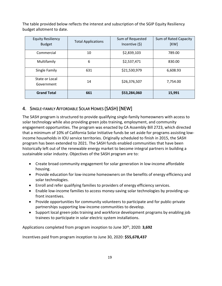The table provided below reflects the interest and subscription of the SGIP Equity Resiliency budget allotment to date.

| <b>Equity Resiliency</b><br><b>Budget</b> | <b>Total Applications</b> | Sum of Requested<br>Incentive $(5)$ | Sum of Rated Capacity<br>[KW] |
|-------------------------------------------|---------------------------|-------------------------------------|-------------------------------|
| Commercial                                | 10                        | \$2,839,103                         | 789.00                        |
| Multifamily                               | 6                         | \$2,537,471                         | 830.00                        |
| Single Family                             | 631                       | \$21,530,979                        | 6,608.93                      |
| State or Local<br>Government              | 14                        | \$26,376,507                        | 7,754.00                      |
| <b>Grand Total</b>                        | 661                       | \$53,284,060                        | 15,991                        |

### <span id="page-21-0"></span>4. SINGLE-FAMILY AFFORDABLE SOLAR HOMES (SASH) [NEW]

The SASH program is structured to provide qualifying single-family homeowners with access to solar technology while also providing green jobs training, employment, and community engagement opportunities. The program was enacted by CA Assembly Bill 2723, which directed that a minimum of 10% of California Solar Initiative funds be set aside for programs assisting lowincome households in IOU service territories. Originally scheduled to finish in 2015, the SASH program has been extended to 2021. The SASH funds enabled communities that have been historically left out of the renewable energy market to become integral partners in building a sustainable solar industry. Objectives of the SASH program are to:

- Create broad community engagement for solar generation in low-income affordable housing.
- Provide education for low-income homeowners on the benefits of energy efficiency and solar technologies.
- Enroll and refer qualifying families to providers of energy efficiency services.
- Enable low-income families to access money-saving solar technologies by providing upfront incentives.
- Provide opportunities for community volunteers to participate and for public-private partnerships supporting low-income communities to develop.
- Support local green-jobs training and workforce development programs by enabling job trainees to participate in solar electric system installations.

Applications completed from program inception to June 30th, 2020: **3,692**

Incentives paid from program inception to June 30, 2020: **\$55,678,437**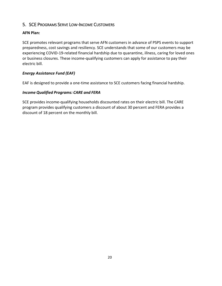### <span id="page-22-0"></span>5. SCE PROGRAMS SERVE LOW-INCOME CUSTOMERS

### **AFN Plan:**

SCE promotes relevant programs that serve AFN customers in advance of PSPS events to support preparedness, cost savings and resiliency. SCE understands that some of our customers may be experiencing COVID-19-related financial hardship due to quarantine, illness, caring for loved ones or business closures. These income-qualifying customers can apply for assistance to pay their electric bill.

### *Energy Assistance Fund (EAF)*

EAF is designed to provide a one-time assistance to SCE customers facing financial hardship.

### *Income Qualified Programs: CARE and FERA*

SCE provides income-qualifying households discounted rates on their electric bill. The CARE program provides qualifying customers a discount of about 30 percent and FERA provides a discount of 18 percent on the monthly bill.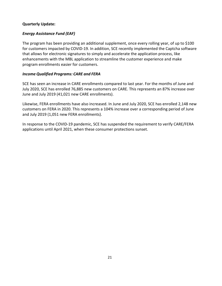### **Quarterly Update:**

### *Energy Assistance Fund (EAF)*

The program has been providing an additional supplement, once every rolling year, of up to \$100 for customers impacted by COVID-19. In addition, SCE recently implemented the Captcha software that allows for electronic signatures to simply and accelerate the application process, like enhancements with the MBL application to streamline the customer experience and make program enrollments easier for customers.

### *Income Qualified Programs: CARE and FERA*

SCE has seen an increase in CARE enrollments compared to last year. For the months of June and July 2020, SCE has enrolled 76,885 new customers on CARE. This represents an 87% increase over June and July 2019 (41,021 new CARE enrollments).

Likewise, FERA enrollments have also increased. In June and July 2020, SCE has enrolled 2,148 new customers on FERA in 2020. This represents a 104% increase over a corresponding period of June and July 2019 (1,051 new FERA enrollments).

In response to the COVID-19 pandemic, SCE has suspended the requirement to verify CARE/FERA applications until April 2021, when these consumer protections sunset.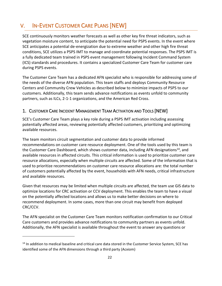# <span id="page-24-0"></span>V. IN-EVENT CUSTOMER CARE PLANS [NEW]

SCE continuously monitors weather forecasts as well as other key fire threat indicators, such as vegetation moisture content, to anticipate the potential need for PSPS events. In the event where SCE anticipates a potential de-energization due to extreme weather and other high fire threat conditions, SCE utilizes a PSPS IMT to manage and coordinate potential responses. The PSPS IMT is a fully dedicated team trained in PSPS event management following Incident Command System (ICS) standards and procedures. It contains a specialized Customer Care Team for customer care during PSPS events.

The Customer Care Team has a dedicated AFN specialist who is responsible for addressing some of the needs of the diverse AFN population. This team staffs and deploys Community Resource Centers and Community Crew Vehicles as described below to minimize impacts of PSPS to our customers. Additionally, this team sends advance notifications as events unfold to community partners, such as ILCs, 2-1-1 organizations, and the American Red Cross.

### <span id="page-24-1"></span>1. CUSTOMER CARE INCIDENT MANAGEMENT TEAM ACTIVATION AND TOOLS [NEW]

SCE's Customer Care Team plays a key role during a PSPS IMT activation including assessing potentially affected areas, reviewing potentially affected customers, prioritizing and optimizing available resources.

The team monitors circuit segmentation and customer data to provide informed recommendations on customer care resource deployment. One of the tools used by this team is the Customer Care Dashboard, which shows customer data, including AFN designations<sup>14</sup>, and available resources in affected circuits. This critical information is used to prioritize customer care resource allocations, especially when multiple circuits are affected. Some of the information that is used to prioritize recommendations on customer care resource allocations are: the total number of customers potentially affected by the event, households with AFN needs, critical infrastructure and available resources.

Given that resources may be limited when multiple circuits are affected, the team use GIS data to optimize locations for CRC activation or CCV deployment. This enables the team to have a visual on the potentially affected locations and allows us to make better decisions on where to recommend deployment. In some cases, more than one circuit may benefit from deployed CRC/CCV.

The AFN specialist on the Customer Care Team monitors notification confirmation to our Critical Care customers and provides advance notifications to community partners as events unfold. Additionally, the AFN specialist is available throughout the event to answer any questions or

<sup>&</sup>lt;sup>14</sup> In addition to medical baseline and critical care data stored in the Customer Service System, SCE has identified some of the AFN dimensions through a third party (Acxiom)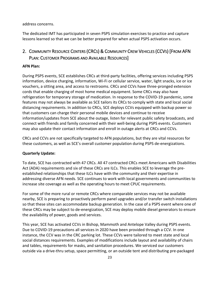address concerns.

The dedicated IMT has participated in seven PSPS simulation exercises to practice and capture lessons learned so that we can be better prepared for when actual PSPS activation occurs.

## <span id="page-25-0"></span>2. COMMUNITY RESOURCE CENTERS (CRCS) & COMMUNITY CREW VEHICLES (CCVS) [FROM AFN PLAN: CUSTOMER PROGRAMS AND AVAILABLE RESOURCES]

### **AFN Plan:**

During PSPS events, SCE establishes CRCs at third-party facilities, offering services including PSPS information, device charging, information, Wi-Fi or cellular service, water, light snacks, ice or ice vouchers, a sitting area, and access to restrooms. CRCs and CCVs have three-pronged extension cords that enable charging of most home medical equipment. Some CRCs may also have refrigeration for temporary storage of medication. In response to the COVID-19 pandemic, some features may not always be available as SCE tailors its CRCs to comply with state and local social distancing requirements. In addition to CRCs, SCE deploys CCVs equipped with backup power so that customers can charge their personal mobile devices and continue to receive information/updates from SCE about the outage, listen for relevant public safety broadcasts, and connect with friends and family concerned with their well-being during PSPS events. Customers may also update their contact information and enroll in outage alerts at CRCs and CCVs.

CRCs and CCVs are not specifically targeted to AFN populations, but they are vital resources for these customers, as well as SCE's overall customer population during PSPS de-energizations.

#### **Quarterly Update:**

To date, SCE has contracted with 47 CRCs. All 47 contracted CRCs meet Americans with Disabilities Act (ADA) requirements and six of these CRCs are ILCs. This enables SCE to leverage the preestablished relationships that these ILCs have with the community and their expertise in addressing diverse AFN needs. SCE continues to work with local governments and communities to increase site coverage as well as the operating hours to meet CPUC requirements.

For some of the more rural or remote CRCs where comparable services may not be available nearby, SCE is preparing to proactively perform panel upgrades and/or transfer switch installations so that these sites can accommodate backup generation. In the case of a PSPS event where one of these CRCs may be subject to de-energization, SCE may deploy mobile diesel generators to ensure the availability of power, goods and services.

This year, SCE has activated CCVs in Bishop, Mammoth and Antelope Valley during PSPS events. Due to COVID-19 precautions all services in 2020 have been provided through a CCV. In one instance, the CCV was in the CRC parking lot. These CCVs were tailored to meet state and local social distances requirements. Examples of modifications include layout and availability of chairs and tables, requirements for masks, and sanitation procedures. We serviced our customers outside via a drive-thru setup, space permitting, or an outside tent and distributing pre-packaged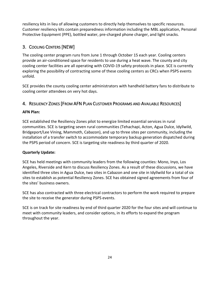resiliency kits in lieu of allowing customers to directly help themselves to specific resources. Customer resiliency kits contain preparedness information including the MBL application, Personal Protective Equipment (PPE), bottled water, pre-charged phone charger, and light snacks.

## <span id="page-26-0"></span>3. COOLING CENTERS [NEW]

The cooling center program runs from June 1 through October 15 each year. Cooling centers provide an air-conditioned space for residents to use during a heat wave. The county and city cooling center facilities are all operating with COVID-19 safety protocols in place. SCE is currently exploring the possibility of contracting some of these cooling centers as CRCs when PSPS events unfold.

SCE provides the county cooling center administrators with handheld battery fans to distribute to cooling center attendees on very hot days.

### <span id="page-26-1"></span>4. RESILIENCY ZONES [FROM AFN PLAN CUSTOMER PROGRAMS AND AVAILABLE RESOURCES]

### **AFN Plan:**

SCE established the Resiliency Zones pilot to energize limited essential services in rural communities. SCE is targeting seven rural communities (Tehachapi, Acton, Agua Dulce, Idyllwild, Bridgeport/Lee Vining, Mammoth, Cabazon), and up to three sites per community, including the installation of a transfer switch to accommodate temporary backup generation dispatched during the PSPS period of concern. SCE is targeting site readiness by third quarter of 2020.

### **Quarterly Update:**

SCE has held meetings with community leaders from the following counties: Mono, Inyo, Los Angeles, Riverside and Kern to discuss Resiliency Zones. As a result of these discussions, we have identified three sites in Agua Dulce, two sites in Cabazon and one site in Idyllwild for a total of six sites to establish as potential Resiliency Zones. SCE has obtained signed agreements from four of the sites' business owners.

SCE has also contracted with three electrical contractors to perform the work required to prepare the site to receive the generator during PSPS events.

SCE is on track for site readiness by end of third quarter 2020 for the four sites and will continue to meet with community leaders, and consider options, in its efforts to expand the program throughout the year.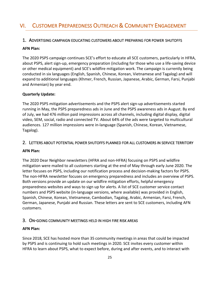# <span id="page-27-0"></span>VI. CUSTOMER PREPAREDNESS OUTREACH & COMMUNITY ENGAGEMENT

### <span id="page-27-1"></span>1. ADVERTISING CAMPAIGN EDUCATING CUSTOMERS ABOUT PREPARING FOR POWER SHUTOFFS

#### **AFN Plan:**

The 2020 PSPS campaign continues SCE's effort to educate all SCE customers, particularly in HFRA, about PSPS, alert sign-up, emergency preparation (including for those who use a life-saving device or other medical equipment) and SCE's wildfire mitigation work. The campaign is currently being conducted in six languages (English, Spanish, Chinese, Korean, Vietnamese and Tagalog) and will expand to additional languages (Khmer, French, Russian, Japanese, Arabic, German, Farsi, Punjabi and Armenian) by year end.

### **Quarterly Update:**

The 2020 PSPS mitigation advertisements and the PSPS alert sign-up advertisements started running in May, the PSPS preparedness ads in June and the PSPS awareness ads in August. By end of July, we had 476 million paid impressions across all channels, including digital display, digital video, SEM, social, radio and connected TV. About 64% of the ads were targeted to multicultural audiences. 127 million impressions were in-language (Spanish, Chinese, Korean, Vietnamese, Tagalog).

### <span id="page-27-2"></span>2. LETTERS ABOUT POTENTIAL POWER SHUTOFFS PLANNED FOR ALL CUSTOMERS IN SERVICE TERRITORY

#### **AFN Plan:**

The 2020 Dear Neighbor newsletters (HFRA and non-HFRA) focusing on PSPS and wildfire mitigation were mailed to all customers starting at the end of May through early June 2020. The letter focuses on PSPS, including our notification process and decision-making factors for PSPS. The non-HFRA newsletter focuses on emergency preparedness and includes an overview of PSPS. Both versions provide an update on our wildfire mitigation efforts, helpful emergency preparedness websites and ways to sign up for alerts. A list of SCE customer service contact numbers and PSPS website (in-language versions, where available) was provided in English, Spanish, Chinese, Korean, Vietnamese, Cambodian, Tagalog, Arabic, Armenian, Farsi, French, German, Japanese, Punjabi and Russian. These letters are sent to SCE customers, including AFN customers.

### <span id="page-27-3"></span>3. ON-GOING COMMUNITY MEETINGS HELD IN HIGH FIRE RISK AREAS

#### **AFN Plan:**

Since 2018, SCE has hosted more than 35 community meetings in areas that could be impacted by PSPS and is continuing to hold such meetings in 2020. SCE invites every customer within HFRA to learn about PSPS, what to expect before, during and after events, and to interact with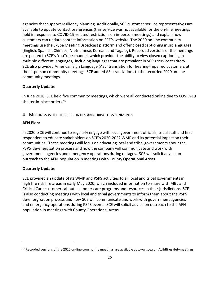agencies that support resiliency planning. Additionally, SCE customer service representatives are available to update contact preferences (this service was not available for the on-line meetings held in response to COVID-19-related restrictions on in-person meetings) and explain how customers can update contact information on SCE's website. The 2020 on-line community meetings use the Skype Meeting Broadcast platform and offer closed captioning in six languages (English, Spanish, Chinese, Vietnamese, Korean, and Tagalog). Recorded versions of the meetings are posted to SCE's YouTube channel, which providesthe ability to view closed captioning in multiple different languages, including languagesthat are prevalent in SCE's service territory. SCE also provided American Sign Language (ASL) translation for hearing-impaired customers at the in-person community meetings. SCE added ASL translations to the recorded 2020 on-line community meetings.

### **Quarterly Update:**

In June 2020, SCE held five community meetings, which were all conducted online due to COVID-19 shelter-in-place orders. 15

### <span id="page-28-0"></span>4. MEETINGS WITH CITIES, COUNTIES AND TRIBAL GOVERNMENTS

### **AFN Plan:**

In 2020, SCE will continue to regularly engage with local government officials, tribal staff and first responders to educate stakeholders on SCE's 2020-2022 WMP and its potential impact on their communities. These meetings will focus on educating local and tribal governments about the PSPS de-energization process and how the company will communicate and work with government agencies and emergency operations during outages. SCE will solicit advice on outreach to the AFN population in meetings with County Operational Areas.

### **Quarterly Update:**

SCE provided an update of its WMP and PSPS activities to all local and tribal governments in high fire risk fire areas in early May 2020, which included information to share with MBL and Critical Care customers about customer care programs and resources in their jurisdictions. SCE is also conducting meetings with local and tribal governments to inform them about the PSPS de-energization process and how SCE will communicate and work with government agencies and emergency operations during PSPS events. SCE will solicit advice on outreach to the AFN population in meetings with County Operational Areas.

<sup>&</sup>lt;sup>15</sup> Recorded versions of the 2020 on-line community meetings are available at [www.sce.com/wildfiresafetymeetings](http://www.sce.com/wildfiresafetymeetings)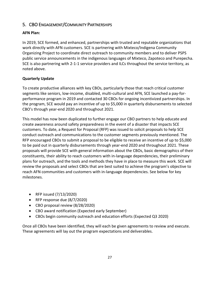### <span id="page-29-0"></span>5. CBO ENGAGEMENT/COMMUNITY PARTNERSHIPS

### **AFN Plan:**

In 2019, SCE formed, and enhanced, partnerships with trusted and reputable organizations that work directly with AFN customers. SCE is partnering with Mixteco/Indigena Community Organizing Project to coordinate direct outreach to community members and to deliver PSPS public service announcements in the indigenous languages of Mixteco, Zapoteco and Purepecha. SCE is also partnering with 2-1-1 service providers and ILCs throughout the service territory, as noted above.

### **Quarterly Update**

To create productive alliances with key CBOs, particularly those that reach critical customer segments like seniors, low-income, disabled, multi-cultural and AFN, SCE launched a pay-forperformance program in 2019 and contacted 30 CBOs for ongoing incentivized partnerships. In the program, SCE would pay an incentive of up to \$5,000 in quarterly disbursements to selected CBO's through year-end 2020 and throughout 2021.

This model has now been duplicated to further engage our CBO partners to help educate and create awareness around safety preparedness in the event of a disaster that impacts SCE customers. To date, a Request for Proposal (RFP) was issued to solicit proposals to help SCE conduct outreach and communications to the customer segments previously mentioned. The RFP encouraged CBOs to submit a proposal to be eligible to receive an incentive of up to \$5,000 to be paid out in quarterly disbursements through year-end 2020 and throughout 2021. These proposals will provide SCE with general information about the CBOs, basic demographics of their constituents, their ability to reach customers with in-language dependencies, their preliminary plans for outreach, and the tools and methods they have in place to measure this work. SCE will review the proposals and select CBOs that are best suited to achieve the program's objective to reach AFN communities and customers with in-language dependencies. See below for key milestones.

- RFP issued (7/13/2020)
- RFP response due (8/7/2020)
- CBO proposal review (8/28/2020)
- CBO award notification (Expected early September)
- CBOs begin community outreach and education efforts (Expected Q3 2020)

Once all CBOs have been identified, they will each be given agreements to review and execute. These agreements will lay out the program expectations and deliverables.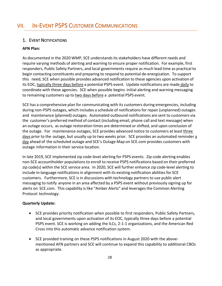### <span id="page-30-1"></span><span id="page-30-0"></span>1. EVENT NOTIFICATIONS

### **AFN Plan:**

As documented in the 2020 WMP, SCE understands its stakeholders have different needs and require varying methods of alerting and warning to ensure proper notification. For example, first responders, Public Safety Partners, and local governments require as much lead time as practical to begin contacting constituents and preparing to respond to potential de-energization. To support this need, SCE when possible provides advanced notification to these agencies upon activation of its EOC, typically three days before a potential PSPS event. Update notifications are made daily to coordinate with these agencies. SCE when possible begins initial alerting and warning messaging to remaining customers up to two days before a potential PSPS event.

SCE has a comprehensive plan for communicating with its customers during emergencies, including during non-PSPS outages, which includes a schedule of notifications for repair (unplanned) outages and maintenance (planned) outages. Automated outbound notifications are sent to customers via the customer's preferred method of contact (including email, phone call and text message) when an outage occurs, as outage restoration times are determined or shifted, and upon conclusion of the outage. For maintenance outages, SCE provides advanced notice to customers at least three days prior to the outage, but usually up to two weeks prior. SCE provides an automated reminder a day ahead of the scheduled outage and SCE's Outage Map on SCE.com provides customers with outage information in their service location.

In late 2019, SCE implemented zip code-level alerting for PSPS events. Zip code alerting enables non-SCE accountholder populationsto enroll to receive PSPS notifications based on their preferred zip code(s) within the SCE service area. In 2020, SCE will further enhance zip code-level alerting to include in-language notifications in alignment with its existing notification abilities for SCE customers. Furthermore, SCE is in discussions with technology partners to use public alert messaging to notify anyone in an area affected by a PSPS event without previously signing up for alerts on SCE.com. This capability is like "Amber Alerts" and leverages the Common Alerting Protocol technology.

### **Quarterly Update:**

- SCE provides priority notification when possible to first responders, Public Safety Partners, and local governments upon activation of its EOC, typically three days before a potential PSPS event. SCE is working on adding the ILCs, 2-1-1 organizations, and the American Red Cross into this automatic advance notification system.
- SCE provided training on these PSPS notifications in August 2020 with the abovementioned AFN partners and SCE will continue to expand this capability to additional CBOs as appropriate.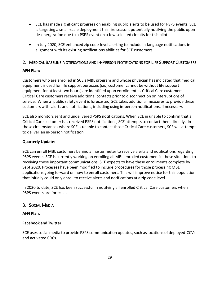- SCE has made significant progress on enabling public alerts to be used for PSPS events. SCE is targeting a small-scale deployment this fire season, potentially notifying the public upon de-energization due to a PSPS event on a few selected circuits for this pilot.
- In July 2020, SCE enhanced zip code-level alerting to include in-language notifications in alignment with its existing notifications abilities for SCE customers.

### <span id="page-31-0"></span>2. MEDICAL BASELINE NOTIFICATIONS AND IN-PERSON NOTIFICATIONS FOR LIFE SUPPORT CUSTOMERS

### **AFN Plan:**

Customers who are enrolled in SCE's MBL program and whose physician hasindicated that medical equipment is used for life support purposes (*i.e.*, customer cannot be without life support equipment for at least two hours) are identified upon enrollment as Critical Care customers. Critical Care customers receive additional contacts prior to disconnection or interruptions of service. When a public safety event is forecasted, SCE takes additional measures to provide these customers with alerts and notifications, including using in-person notifications, if necessary.

SCE also monitors sent and undelivered PSPS notifications. When SCE in unable to confirm that a Critical Care customer has received PSPS notifications, SCE attempts to contact them directly. In those circumstances where SCE is unable to contact those Critical Care customers, SCE will attempt to deliver an in-person notification.

### **Quarterly Update:**

SCE can enroll MBL customers behind a master meter to receive alerts and notifications regarding PSPS events. SCE is currently working on enrolling all MBL-enrolled customers in these situations to receiving these important communications. SCE expects to have these enrollments complete by Sept 2020. Processes have been modified to include procedures for those processing MBL applications going forward on how to enroll customers. This will improve notice for this population that initially could only enroll to receive alerts and notifications at a zip code level.

In 2020 to date, SCE has been successful in notifying all enrolled Critical Care customers when PSPS events are forecast.

### <span id="page-31-1"></span>3. SOCIAL MEDIA

### **AFN Plan:**

### **Facebook and Twitter**

SCE uses social media to provide PSPS communication updates, such as locations of deployed CCVs and activated CRCs.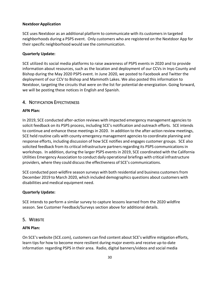#### **NextdoorApplication**

SCE uses Nextdoor as an additional platform to communicate with its customers in targeted neighborhoods during a PSPS event. Only customers who are registered on the Nextdoor App for their specific neighborhood would see the communication.

#### **Quarterly Update:**

SCE utilized its social media platforms to raise awareness of PSPS events in 2020 and to provide information about resources, such as the location and deployment of our CCVs in Inyo County and Bishop during the May 2020 PSPS event. In June 2020, we posted to Facebook and Twitter the deployment of our CCV to Bishop and Mammoth Lakes. We also posted this information to Nextdoor, targeting the circuits that were on the list for potential de-energization. Going forward, we will be posting these notices in English and Spanish.

### <span id="page-32-0"></span>4. NOTIFICATION EFFECTIVENESS

#### **AFN Plan:**

In 2019, SCE conducted after-action reviews with impacted emergency management agenciesto solicit feedback on its PSPS process, including SCE's notification and outreach efforts. SCE intends to continue and enhance these meetings in 2020. In addition to the after-action review meetings, SCE held routine calls with county emergency management agencies to coordinate planning and response efforts, including discussion of how SCE notifies and engages customer groups. SCE also solicited feedback from its critical infrastructure partners regarding its PSPS communications in workshops. In addition, during the larger PSPS events in 2019, SCE coordinated with the California Utilities Emergency Association to conduct daily operational briefings with critical infrastructure providers, where they could discussthe effectiveness of SCE's communications.

SCE conducted post-wildfire season surveys with both residential and business customersfrom December 2019 to March 2020, which included demographics questions about customers with disabilities and medical equipment need.

#### **Quarterly Update:**

SCE intends to perform a similar survey to capture lessons learned from the 2020 wildfire season. See Customer Feedback/Surveys section above for additional details.

### <span id="page-32-1"></span>5. WEBSITE

#### **AFN Plan:**

On SCE's website (SCE.com), customers can find content about SCE's wildfire mitigation efforts, learn tips for how to become more resilient during major events and receive up-to-date information regarding PSPS in their area. Radio, digital banners/videos and social media